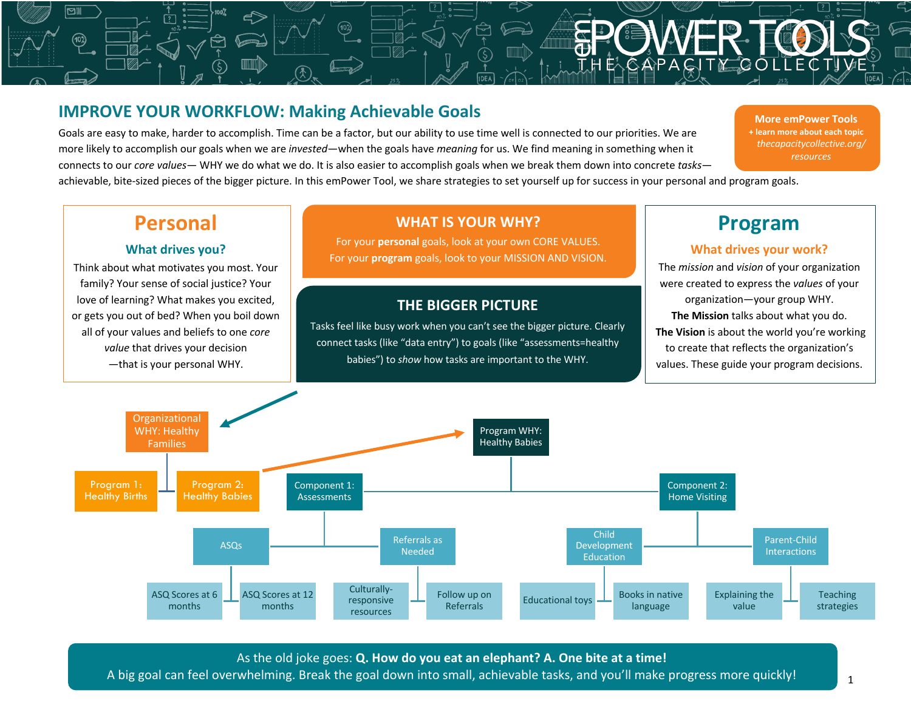# **IMPROVE YOUR WORKFLOW: Making Achievable Goals**

Goals are easy to make, harder to accomplish. Time can be a factor, but our ability to use time well is connected to our priorities. We are more likely to accomplish our goals when we are *invested*—when the goals have *meaning* for us. We find meaning in something when it connects to our *core values—* WHY we do what we do. It is also easier to accomplish goals when we break them down into concrete *tasks*—

 $\widehat{10}$ 

.<br>Titula di

achievable, bite-sized pieces of the bigger picture. In this emPower Tool, we share strategies to set yourself up for success in your personal and program goals.

# **Personal**

⊠॥

#### **What drives you?**

Think about what motivates you most. Your family? Your sense of social justice? Your love of learning? What makes you excited, or gets you out of bed? When you boil down all of your values and beliefs to one *core value* that drives your decision —that is your personal WHY.

## **WHAT IS YOUR WHY?**

**Particular**<br>Particular<br>Particular

**CAPACI** 

For your **personal** goals, look at your own CORE VALUES. For your **program** goals, look to your MISSION AND VISION.

### **THE BIGGER PICTURE**

Tasks feel like busy work when you can't see the bigger picture. Clearly connect tasks (like "data entry") to goals (like "assessments=healthy babies") to *show* how tasks are important to the WHY.

# **Program**

**More emPower Tools + learn more about each topic** *thecapacitycollective.org/ resources*

#### **What drives your work?**

The *mission* and *vision* of your organization were created to express the *values* of your organization—your group WHY. **The Mission** talks about what you do. **The Vision** is about the world you're working to create that reflects the organization's values. These guide your program decisions.



As the old joke goes: **Q. How do you eat an elephant? A. One bite at a time!**

A big goal can feel overwhelming. Break the goal down into small, achievable tasks, and you'll make progress more quickly!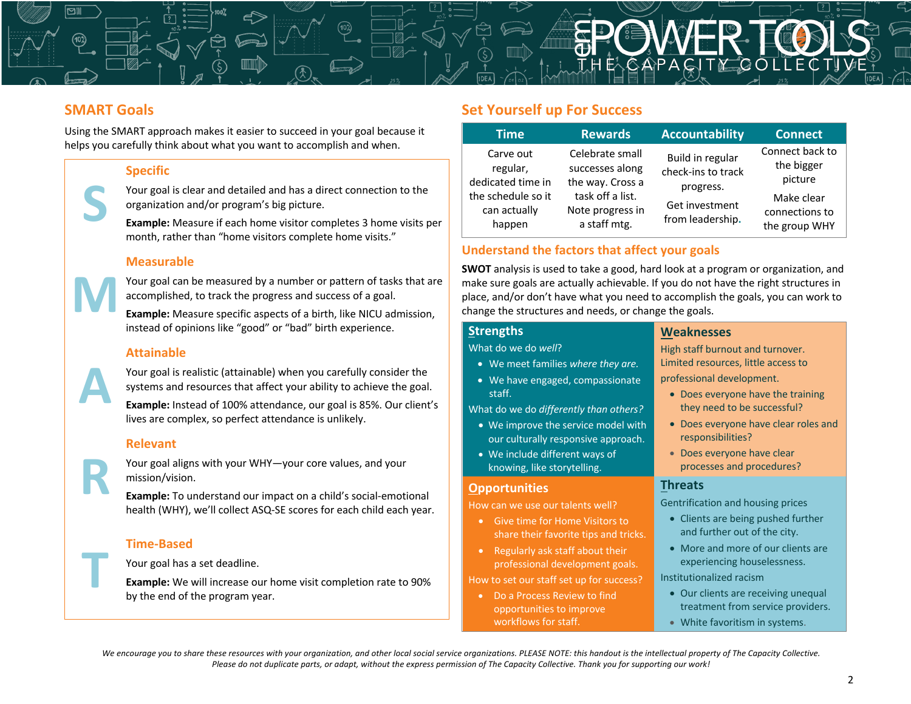

## **SMART Goals**

Using the SMART approach makes it easier to succeed in your goal because it helps you carefully think about what you want to accomplish and when.

#### **Specific**



Your goal is clear and detailed and has a direct connection to the organization and/or program's big picture.

**Example:** Measure if each home visitor completes 3 home visits per month, rather than "home visitors complete home visits."

#### **Measurable**



Your goal can be measured by a number or pattern of tasks that are accomplished, to track the progress and success of a goal.

**Example:** Measure specific aspects of a birth, like NICU admission, instead of opinions like "good" or "bad" birth experience.

#### **Attainable**



**R**

**T**

Your goal is realistic (attainable) when you carefully consider the systems and resources that affect your ability to achieve the goal.

**Example:** Instead of 100% attendance, our goal is 85%. Our client's lives are complex, so perfect attendance is unlikely.

#### **Relevant**

Your goal aligns with your WHY—your core values, and your mission/vision.

**Example:** To understand our impact on a child's social-emotional health (WHY), we'll collect ASQ-SE scores for each child each year.

#### **Time-Based**

Your goal has a set deadline.

**Example:** We will increase our home visit completion rate to 90% by the end of the program year.

## **Set Yourself up For Success**

| Time                                                                                       | <b>Rewards</b>                                                                                                 | Accountability                                                                            | <b>Connect</b>                                                                            |
|--------------------------------------------------------------------------------------------|----------------------------------------------------------------------------------------------------------------|-------------------------------------------------------------------------------------------|-------------------------------------------------------------------------------------------|
| Carve out<br>regular,<br>dedicated time in<br>the schedule so it<br>can actually<br>happen | Celebrate small<br>successes along<br>the way. Cross a<br>task off a list.<br>Note progress in<br>a staff mtg. | Build in regular<br>check-ins to track<br>progress.<br>Get investment<br>from leadership. | Connect back to<br>the bigger<br>picture<br>Make clear<br>connections to<br>the group WHY |

#### **Understand the factors that affect your goals**

**SWOT** analysis is used to take a good, hard look at a program or organization, and make sure goals are actually achievable. If you do not have the right structures in place, and/or don't have what you need to accomplish the goals, you can work to change the structures and needs, or change the goals.

#### **Strengths**

What do we do *well*?

- We meet families *where they are.*
- We have engaged, compassionate staff.

What do we do *differently than others?*

- We improve the service model with our culturally responsive approach.
- We include different ways of knowing, like storytelling.

#### **Opportunities**

How can we use our talents well?

- Give time for Home Visitors to share their favorite tips and tricks.
- Regularly ask staff about their professional development goals.

How to set our staff set up for success?

• Do a Process Review to find opportunities to improve workflows for staff.

#### **Weaknesses**

High staff burnout and turnover. Limited resources, little access to professional development.

- Does everyone have the training they need to be successful?
- Does everyone have clear roles and responsibilities?
- Does everyone have clear processes and procedures?

#### **Threats**

Gentrification and housing prices

- Clients are being pushed further and further out of the city.
- More and more of our clients are experiencing houselessness.

Institutionalized racism

- Our clients are receiving unequal treatment from service providers.
- White favoritism in systems.

*We encourage you to share these resources with your organization, and other local social service organizations. PLEASE NOTE: this handout is the intellectual property of The Capacity Collective. Please do not duplicate parts, or adapt, without the express permission of The Capacity Collective. Thank you for supporting our work!*